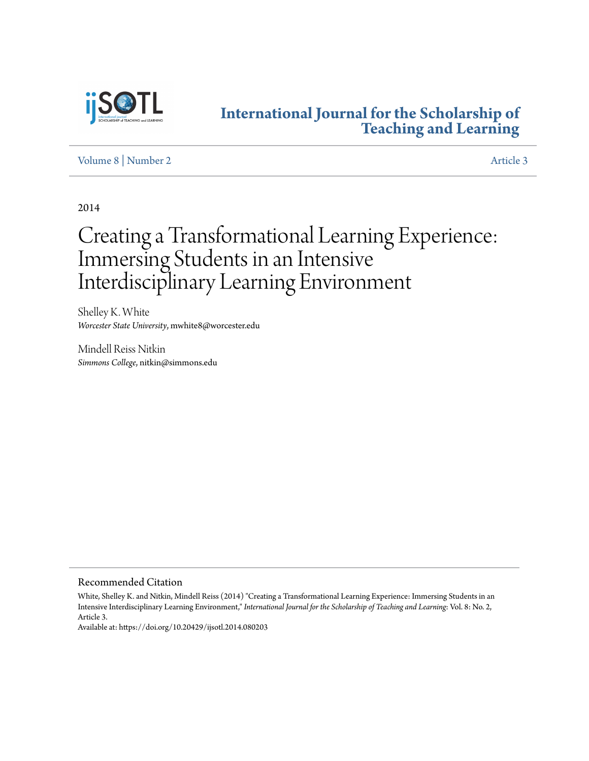

## **[International Journal for the Scholarship of](http://digitalcommons.georgiasouthern.edu/ij-sotl?utm_source=digitalcommons.georgiasouthern.edu%2Fij-sotl%2Fvol8%2Fiss2%2F3&utm_medium=PDF&utm_campaign=PDFCoverPages) [Teaching and Learning](http://digitalcommons.georgiasouthern.edu/ij-sotl?utm_source=digitalcommons.georgiasouthern.edu%2Fij-sotl%2Fvol8%2Fiss2%2F3&utm_medium=PDF&utm_campaign=PDFCoverPages)**

#### [Volume 8](http://digitalcommons.georgiasouthern.edu/ij-sotl/vol8?utm_source=digitalcommons.georgiasouthern.edu%2Fij-sotl%2Fvol8%2Fiss2%2F3&utm_medium=PDF&utm_campaign=PDFCoverPages) | [Number 2](http://digitalcommons.georgiasouthern.edu/ij-sotl/vol8/iss2?utm_source=digitalcommons.georgiasouthern.edu%2Fij-sotl%2Fvol8%2Fiss2%2F3&utm_medium=PDF&utm_campaign=PDFCoverPages) [Article 3](http://digitalcommons.georgiasouthern.edu/ij-sotl/vol8/iss2/3?utm_source=digitalcommons.georgiasouthern.edu%2Fij-sotl%2Fvol8%2Fiss2%2F3&utm_medium=PDF&utm_campaign=PDFCoverPages)

2014

# Creating a Transformational Learning Experience: Immersing Students in an Intensive Interdisciplinary Learning Environment

Shelley K. White *Worcester State University*, mwhite8@worcester.edu

Mindell Reiss Nitkin *Simmons College*, nitkin@simmons.edu

Recommended Citation

White, Shelley K. and Nitkin, Mindell Reiss (2014) "Creating a Transformational Learning Experience: Immersing Students in an Intensive Interdisciplinary Learning Environment," *International Journal for the Scholarship of Teaching and Learning*: Vol. 8: No. 2, Article 3.

Available at: https://doi.org/10.20429/ijsotl.2014.080203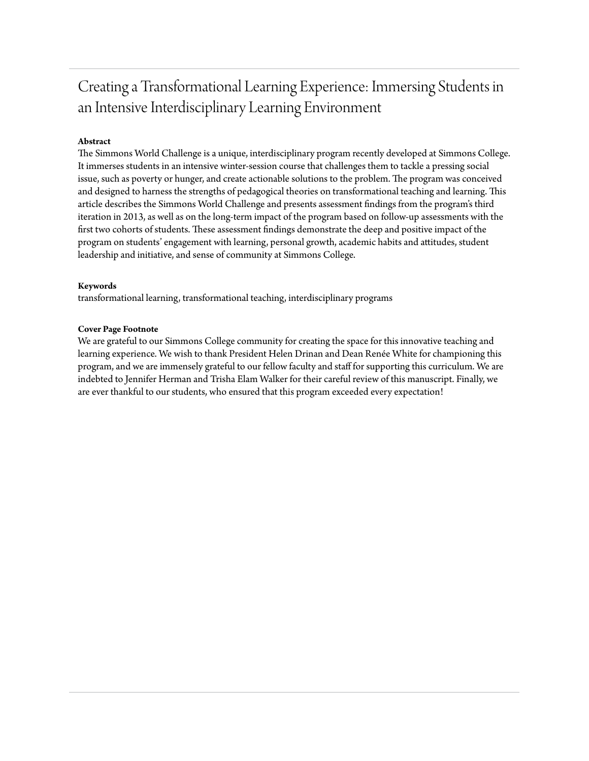## Creating a Transformational Learning Experience: Immersing Students in an Intensive Interdisciplinary Learning Environment

#### **Abstract**

The Simmons World Challenge is a unique, interdisciplinary program recently developed at Simmons College. It immerses students in an intensive winter-session course that challenges them to tackle a pressing social issue, such as poverty or hunger, and create actionable solutions to the problem. The program was conceived and designed to harness the strengths of pedagogical theories on transformational teaching and learning. This article describes the Simmons World Challenge and presents assessment findings from the program's third iteration in 2013, as well as on the long-term impact of the program based on follow-up assessments with the first two cohorts of students. These assessment findings demonstrate the deep and positive impact of the program on students' engagement with learning, personal growth, academic habits and attitudes, student leadership and initiative, and sense of community at Simmons College.

#### **Keywords**

transformational learning, transformational teaching, interdisciplinary programs

#### **Cover Page Footnote**

We are grateful to our Simmons College community for creating the space for this innovative teaching and learning experience. We wish to thank President Helen Drinan and Dean Renée White for championing this program, and we are immensely grateful to our fellow faculty and staff for supporting this curriculum. We are indebted to Jennifer Herman and Trisha Elam Walker for their careful review of this manuscript. Finally, we are ever thankful to our students, who ensured that this program exceeded every expectation!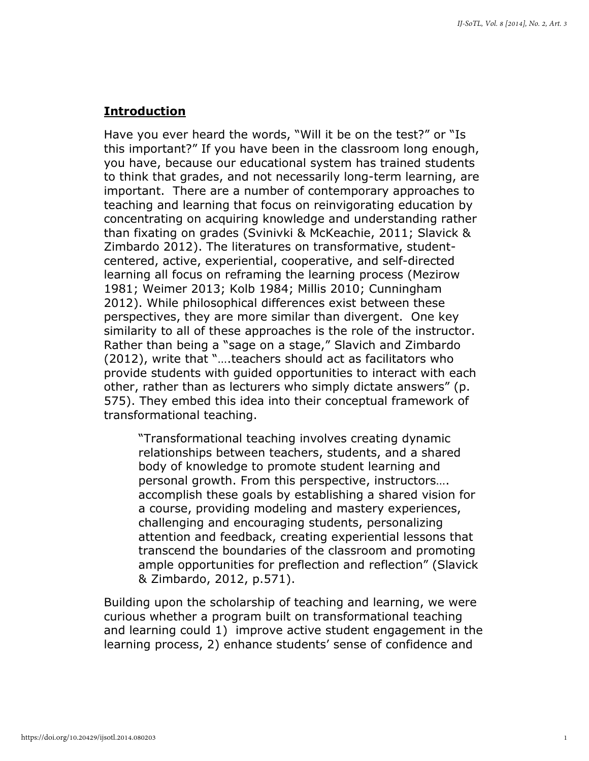#### Introduction

Have you ever heard the words, "Will it be on the test?" or "Is this important?" If you have been in the classroom long enough, you have, because our educational system has trained students to think that grades, and not necessarily long-term learning, are important. There are a number of contemporary approaches to teaching and learning that focus on reinvigorating education by concentrating on acquiring knowledge and understanding rather than fixating on grades (Svinivki & McKeachie, 2011; Slavick & Zimbardo 2012). The literatures on transformative, studentcentered, active, experiential, cooperative, and self-directed learning all focus on reframing the learning process (Mezirow 1981; Weimer 2013; Kolb 1984; Millis 2010; Cunningham 2012). While philosophical differences exist between these perspectives, they are more similar than divergent. One key similarity to all of these approaches is the role of the instructor. Rather than being a "sage on a stage," Slavich and Zimbardo (2012), write that "….teachers should act as facilitators who provide students with guided opportunities to interact with each other, rather than as lecturers who simply dictate answers" (p. 575). They embed this idea into their conceptual framework of transformational teaching.

"Transformational teaching involves creating dynamic relationships between teachers, students, and a shared body of knowledge to promote student learning and personal growth. From this perspective, instructors…. accomplish these goals by establishing a shared vision for a course, providing modeling and mastery experiences, challenging and encouraging students, personalizing attention and feedback, creating experiential lessons that transcend the boundaries of the classroom and promoting ample opportunities for preflection and reflection" (Slavick & Zimbardo, 2012, p.571).

Building upon the scholarship of teaching and learning, we were curious whether a program built on transformational teaching and learning could 1) improve active student engagement in the learning process, 2) enhance students' sense of confidence and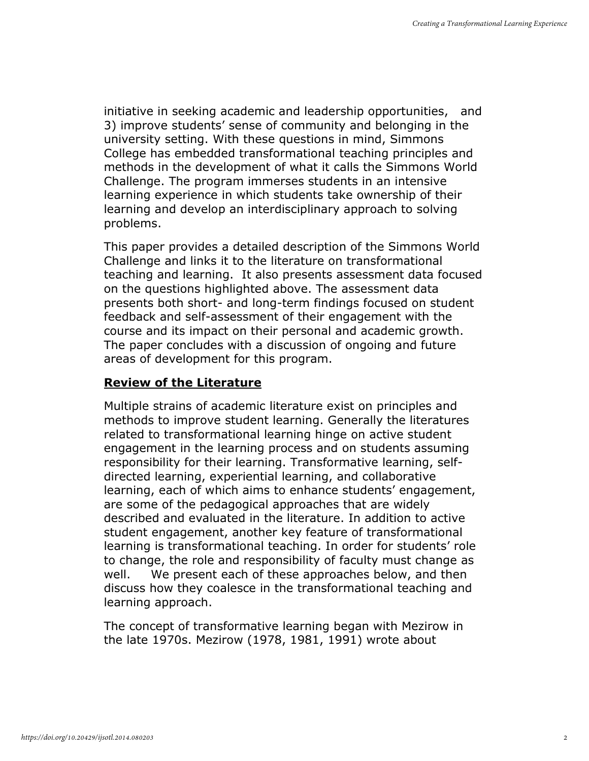initiative in seeking academic and leadership opportunities, and 3) improve students' sense of community and belonging in the university setting. With these questions in mind, Simmons College has embedded transformational teaching principles and methods in the development of what it calls the Simmons World Challenge. The program immerses students in an intensive learning experience in which students take ownership of their learning and develop an interdisciplinary approach to solving problems.

This paper provides a detailed description of the Simmons World Challenge and links it to the literature on transformational teaching and learning. It also presents assessment data focused on the questions highlighted above. The assessment data presents both short- and long-term findings focused on student feedback and self-assessment of their engagement with the course and its impact on their personal and academic growth. The paper concludes with a discussion of ongoing and future areas of development for this program.

### Review of the Literature

Multiple strains of academic literature exist on principles and methods to improve student learning. Generally the literatures related to transformational learning hinge on active student engagement in the learning process and on students assuming responsibility for their learning. Transformative learning, selfdirected learning, experiential learning, and collaborative learning, each of which aims to enhance students' engagement, are some of the pedagogical approaches that are widely described and evaluated in the literature. In addition to active student engagement, another key feature of transformational learning is transformational teaching. In order for students' role to change, the role and responsibility of faculty must change as well. We present each of these approaches below, and then discuss how they coalesce in the transformational teaching and learning approach.

The concept of transformative learning began with Mezirow in the late 1970s. Mezirow (1978, 1981, 1991) wrote about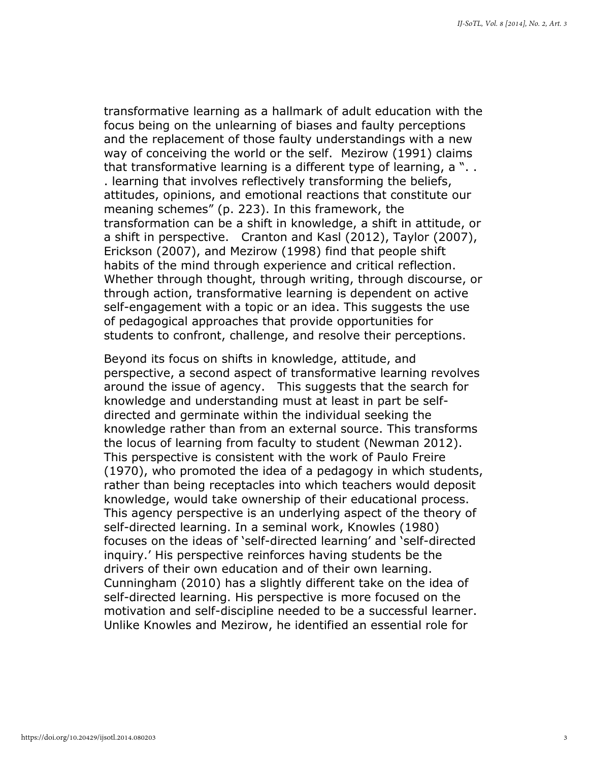transformative learning as a hallmark of adult education with the focus being on the unlearning of biases and faulty perceptions and the replacement of those faulty understandings with a new way of conceiving the world or the self. Mezirow (1991) claims that transformative learning is a different type of learning, a ". . . learning that involves reflectively transforming the beliefs, attitudes, opinions, and emotional reactions that constitute our meaning schemes" (p. 223). In this framework, the transformation can be a shift in knowledge, a shift in attitude, or a shift in perspective. Cranton and Kasl (2012), Taylor (2007), Erickson (2007), and Mezirow (1998) find that people shift habits of the mind through experience and critical reflection. Whether through thought, through writing, through discourse, or through action, transformative learning is dependent on active self-engagement with a topic or an idea. This suggests the use of pedagogical approaches that provide opportunities for students to confront, challenge, and resolve their perceptions.

Beyond its focus on shifts in knowledge, attitude, and perspective, a second aspect of transformative learning revolves around the issue of agency. This suggests that the search for knowledge and understanding must at least in part be selfdirected and germinate within the individual seeking the knowledge rather than from an external source. This transforms the locus of learning from faculty to student (Newman 2012). This perspective is consistent with the work of Paulo Freire (1970), who promoted the idea of a pedagogy in which students, rather than being receptacles into which teachers would deposit knowledge, would take ownership of their educational process. This agency perspective is an underlying aspect of the theory of self-directed learning. In a seminal work, Knowles (1980) focuses on the ideas of 'self-directed learning' and 'self-directed inquiry.' His perspective reinforces having students be the drivers of their own education and of their own learning. Cunningham (2010) has a slightly different take on the idea of self-directed learning. His perspective is more focused on the motivation and self-discipline needed to be a successful learner. Unlike Knowles and Mezirow, he identified an essential role for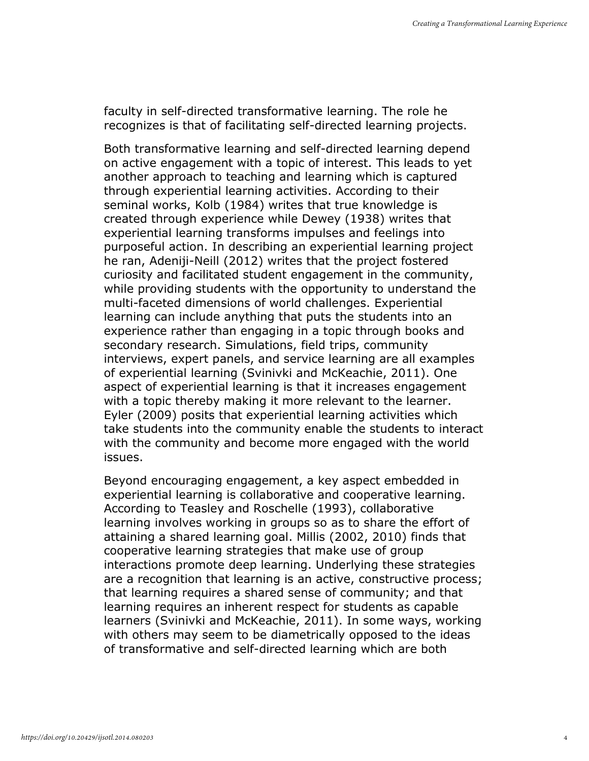faculty in self-directed transformative learning. The role he recognizes is that of facilitating self-directed learning projects.

Both transformative learning and self-directed learning depend on active engagement with a topic of interest. This leads to yet another approach to teaching and learning which is captured through experiential learning activities. According to their seminal works, Kolb (1984) writes that true knowledge is created through experience while Dewey (1938) writes that experiential learning transforms impulses and feelings into purposeful action. In describing an experiential learning project he ran, Adeniji-Neill (2012) writes that the project fostered curiosity and facilitated student engagement in the community, while providing students with the opportunity to understand the multi-faceted dimensions of world challenges. Experiential learning can include anything that puts the students into an experience rather than engaging in a topic through books and secondary research. Simulations, field trips, community interviews, expert panels, and service learning are all examples of experiential learning (Svinivki and McKeachie, 2011). One aspect of experiential learning is that it increases engagement with a topic thereby making it more relevant to the learner. Eyler (2009) posits that experiential learning activities which take students into the community enable the students to interact with the community and become more engaged with the world issues.

Beyond encouraging engagement, a key aspect embedded in experiential learning is collaborative and cooperative learning. According to Teasley and Roschelle (1993), collaborative learning involves working in groups so as to share the effort of attaining a shared learning goal. Millis (2002, 2010) finds that cooperative learning strategies that make use of group interactions promote deep learning. Underlying these strategies are a recognition that learning is an active, constructive process; that learning requires a shared sense of community; and that learning requires an inherent respect for students as capable learners (Svinivki and McKeachie, 2011). In some ways, working with others may seem to be diametrically opposed to the ideas of transformative and self-directed learning which are both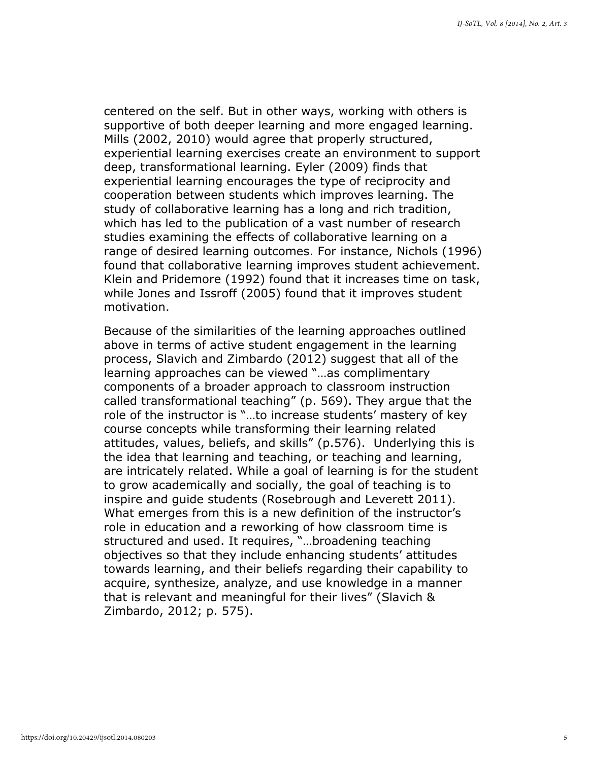centered on the self. But in other ways, working with others is supportive of both deeper learning and more engaged learning. Mills (2002, 2010) would agree that properly structured, experiential learning exercises create an environment to support deep, transformational learning. Eyler (2009) finds that experiential learning encourages the type of reciprocity and cooperation between students which improves learning. The study of collaborative learning has a long and rich tradition, which has led to the publication of a vast number of research studies examining the effects of collaborative learning on a range of desired learning outcomes. For instance, Nichols (1996) found that collaborative learning improves student achievement. Klein and Pridemore (1992) found that it increases time on task, while Jones and Issroff (2005) found that it improves student motivation.

Because of the similarities of the learning approaches outlined above in terms of active student engagement in the learning process, Slavich and Zimbardo (2012) suggest that all of the learning approaches can be viewed "…as complimentary components of a broader approach to classroom instruction called transformational teaching" (p. 569). They argue that the role of the instructor is "…to increase students' mastery of key course concepts while transforming their learning related attitudes, values, beliefs, and skills" (p.576). Underlying this is the idea that learning and teaching, or teaching and learning, are intricately related. While a goal of learning is for the student to grow academically and socially, the goal of teaching is to inspire and guide students (Rosebrough and Leverett 2011). What emerges from this is a new definition of the instructor's role in education and a reworking of how classroom time is structured and used. It requires, "…broadening teaching objectives so that they include enhancing students' attitudes towards learning, and their beliefs regarding their capability to acquire, synthesize, analyze, and use knowledge in a manner that is relevant and meaningful for their lives" (Slavich & Zimbardo, 2012; p. 575).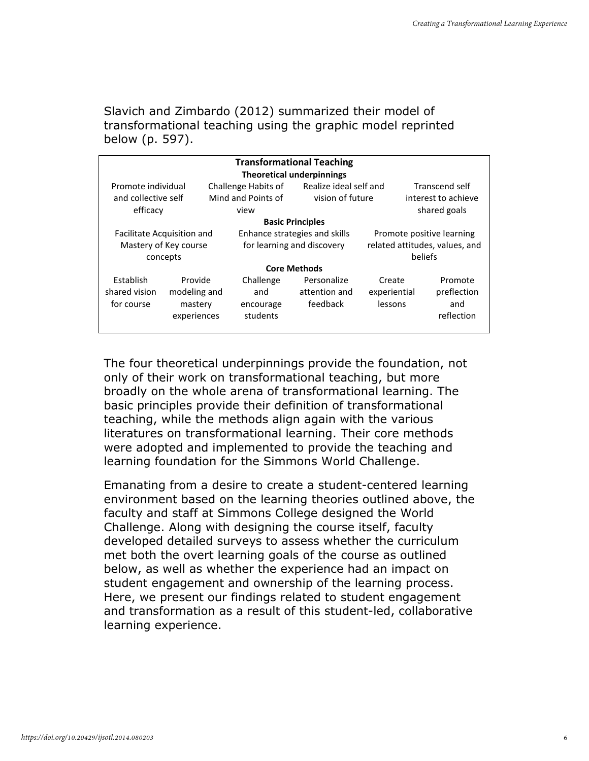Slavich and Zimbardo (2012) summarized their model of transformational teaching using the graphic model reprinted below (p. 597).

| <b>Transformational Teaching</b>         |                                                   |                                           |                                          |                                   |                                             |  |  |
|------------------------------------------|---------------------------------------------------|-------------------------------------------|------------------------------------------|-----------------------------------|---------------------------------------------|--|--|
| <b>Theoretical underpinnings</b>         |                                                   |                                           |                                          |                                   |                                             |  |  |
| Promote individual                       |                                                   | Challenge Habits of                       | Realize ideal self and                   |                                   | Transcend self                              |  |  |
| and collective self                      |                                                   | Mind and Points of                        | vision of future                         |                                   | interest to achieve                         |  |  |
| efficacy                                 |                                                   | view                                      |                                          |                                   | shared goals                                |  |  |
|                                          |                                                   |                                           | <b>Basic Principles</b>                  |                                   |                                             |  |  |
|                                          | Facilitate Acquisition and                        |                                           | Enhance strategies and skills            |                                   | Promote positive learning                   |  |  |
| Mastery of Key course                    |                                                   | for learning and discovery                |                                          | related attitudes, values, and    |                                             |  |  |
|                                          | concepts                                          |                                           |                                          |                                   | beliefs                                     |  |  |
|                                          |                                                   |                                           | <b>Core Methods</b>                      |                                   |                                             |  |  |
| Establish<br>shared vision<br>for course | Provide<br>modeling and<br>mastery<br>experiences | Challenge<br>and<br>encourage<br>students | Personalize<br>attention and<br>feedback | Create<br>experiential<br>lessons | Promote<br>preflection<br>and<br>reflection |  |  |

The four theoretical underpinnings provide the foundation, not only of their work on transformational teaching, but more broadly on the whole arena of transformational learning. The basic principles provide their definition of transformational teaching, while the methods align again with the various literatures on transformational learning. Their core methods were adopted and implemented to provide the teaching and learning foundation for the Simmons World Challenge.

Emanating from a desire to create a student-centered learning environment based on the learning theories outlined above, the faculty and staff at Simmons College designed the World Challenge. Along with designing the course itself, faculty developed detailed surveys to assess whether the curriculum met both the overt learning goals of the course as outlined below, as well as whether the experience had an impact on student engagement and ownership of the learning process. Here, we present our findings related to student engagement and transformation as a result of this student-led, collaborative learning experience.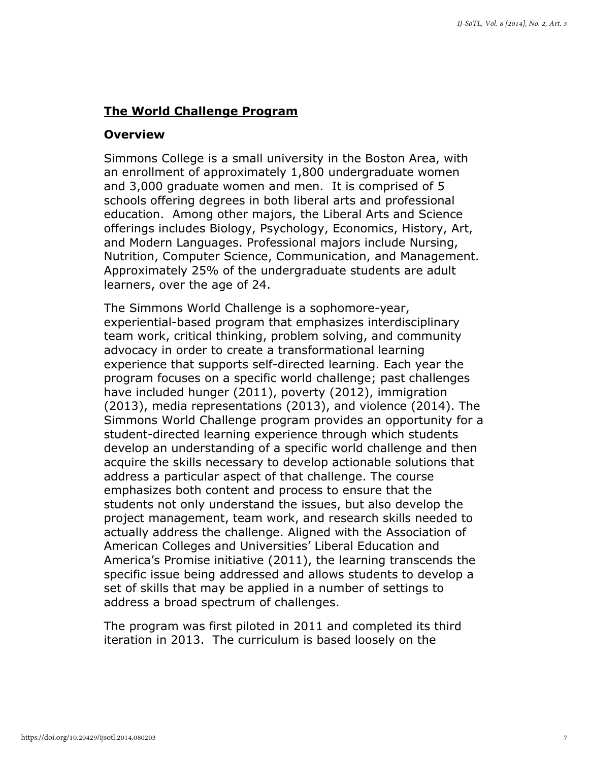#### The World Challenge Program

#### **Overview**

Simmons College is a small university in the Boston Area, with an enrollment of approximately 1,800 undergraduate women and 3,000 graduate women and men. It is comprised of 5 schools offering degrees in both liberal arts and professional education. Among other majors, the Liberal Arts and Science offerings includes Biology, Psychology, Economics, History, Art, and Modern Languages. Professional majors include Nursing, Nutrition, Computer Science, Communication, and Management. Approximately 25% of the undergraduate students are adult learners, over the age of 24.

The Simmons World Challenge is a sophomore-year, experiential-based program that emphasizes interdisciplinary team work, critical thinking, problem solving, and community advocacy in order to create a transformational learning experience that supports self-directed learning. Each year the program focuses on a specific world challenge; past challenges have included hunger (2011), poverty (2012), immigration (2013), media representations (2013), and violence (2014). The Simmons World Challenge program provides an opportunity for a student-directed learning experience through which students develop an understanding of a specific world challenge and then acquire the skills necessary to develop actionable solutions that address a particular aspect of that challenge. The course emphasizes both content and process to ensure that the students not only understand the issues, but also develop the project management, team work, and research skills needed to actually address the challenge. Aligned with the Association of American Colleges and Universities' Liberal Education and America's Promise initiative (2011), the learning transcends the specific issue being addressed and allows students to develop a set of skills that may be applied in a number of settings to address a broad spectrum of challenges.

The program was first piloted in 2011 and completed its third iteration in 2013. The curriculum is based loosely on the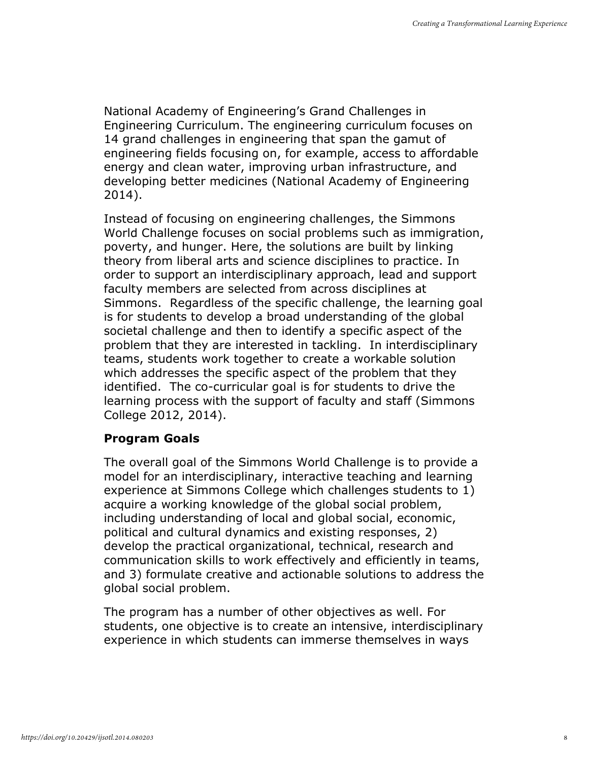National Academy of Engineering's Grand Challenges in Engineering Curriculum. The engineering curriculum focuses on 14 grand challenges in engineering that span the gamut of engineering fields focusing on, for example, access to affordable energy and clean water, improving urban infrastructure, and developing better medicines (National Academy of Engineering 2014).

Instead of focusing on engineering challenges, the Simmons World Challenge focuses on social problems such as immigration, poverty, and hunger. Here, the solutions are built by linking theory from liberal arts and science disciplines to practice. In order to support an interdisciplinary approach, lead and support faculty members are selected from across disciplines at Simmons. Regardless of the specific challenge, the learning goal is for students to develop a broad understanding of the global societal challenge and then to identify a specific aspect of the problem that they are interested in tackling. In interdisciplinary teams, students work together to create a workable solution which addresses the specific aspect of the problem that they identified. The co-curricular goal is for students to drive the learning process with the support of faculty and staff (Simmons College 2012, 2014).

#### Program Goals

The overall goal of the Simmons World Challenge is to provide a model for an interdisciplinary, interactive teaching and learning experience at Simmons College which challenges students to 1) acquire a working knowledge of the global social problem, including understanding of local and global social, economic, political and cultural dynamics and existing responses, 2) develop the practical organizational, technical, research and communication skills to work effectively and efficiently in teams, and 3) formulate creative and actionable solutions to address the global social problem.

The program has a number of other objectives as well. For students, one objective is to create an intensive, interdisciplinary experience in which students can immerse themselves in ways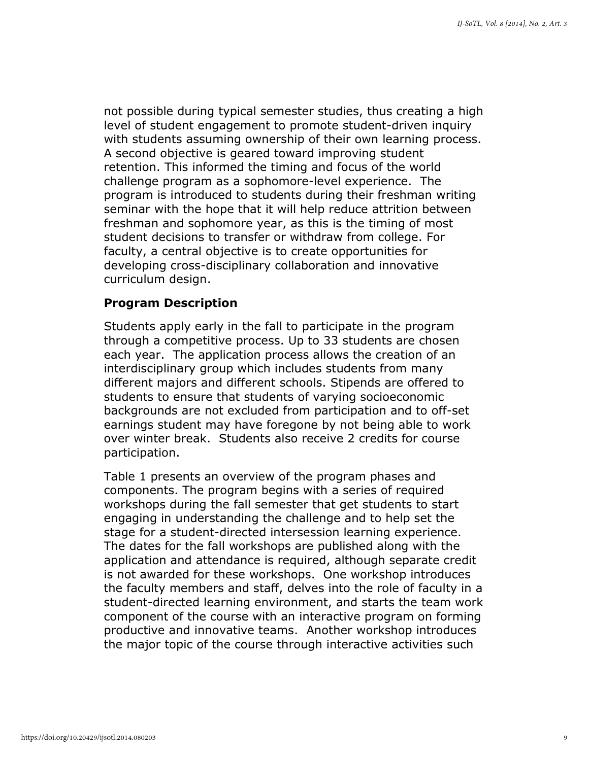not possible during typical semester studies, thus creating a high level of student engagement to promote student-driven inquiry with students assuming ownership of their own learning process. A second objective is geared toward improving student retention. This informed the timing and focus of the world challenge program as a sophomore-level experience. The program is introduced to students during their freshman writing seminar with the hope that it will help reduce attrition between freshman and sophomore year, as this is the timing of most student decisions to transfer or withdraw from college. For faculty, a central objective is to create opportunities for developing cross-disciplinary collaboration and innovative curriculum design.

#### Program Description

Students apply early in the fall to participate in the program through a competitive process. Up to 33 students are chosen each year. The application process allows the creation of an interdisciplinary group which includes students from many different majors and different schools. Stipends are offered to students to ensure that students of varying socioeconomic backgrounds are not excluded from participation and to off-set earnings student may have foregone by not being able to work over winter break. Students also receive 2 credits for course participation.

Table 1 presents an overview of the program phases and components. The program begins with a series of required workshops during the fall semester that get students to start engaging in understanding the challenge and to help set the stage for a student-directed intersession learning experience. The dates for the fall workshops are published along with the application and attendance is required, although separate credit is not awarded for these workshops. One workshop introduces the faculty members and staff, delves into the role of faculty in a student-directed learning environment, and starts the team work component of the course with an interactive program on forming productive and innovative teams. Another workshop introduces the major topic of the course through interactive activities such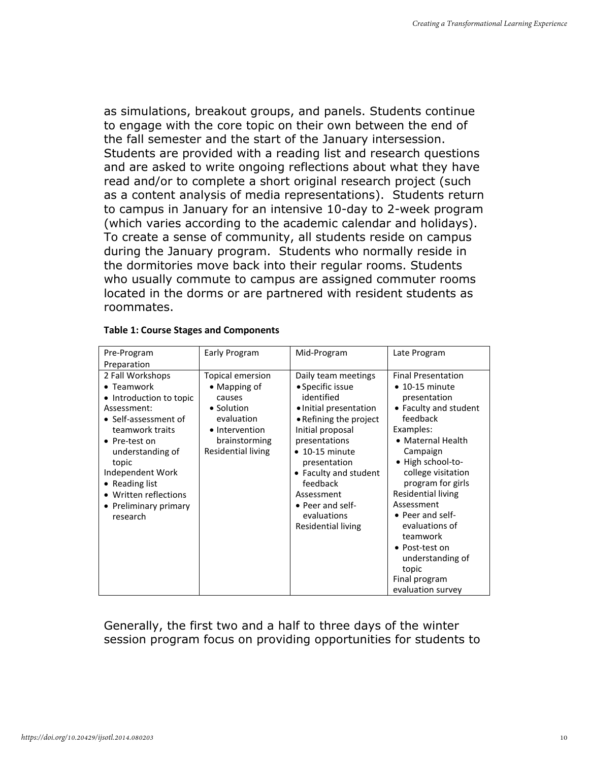as simulations, breakout groups, and panels. Students continue to engage with the core topic on their own between the end of the fall semester and the start of the January intersession. Students are provided with a reading list and research questions and are asked to write ongoing reflections about what they have read and/or to complete a short original research project (such as a content analysis of media representations). Students return to campus in January for an intensive 10-day to 2-week program (which varies according to the academic calendar and holidays). To create a sense of community, all students reside on campus during the January program. Students who normally reside in the dormitories move back into their regular rooms. Students who usually commute to campus are assigned commuter rooms located in the dorms or are partnered with resident students as roommates.

| Pre-Program             | Early Program        | Mid-Program            | Late Program              |
|-------------------------|----------------------|------------------------|---------------------------|
| Preparation             |                      |                        |                           |
| 2 Fall Workshops        | Topical emersion     | Daily team meetings    | <b>Final Presentation</b> |
| • Teamwork              | $\bullet$ Mapping of | • Specific issue       | $\bullet$ 10-15 minute    |
| • Introduction to topic | causes               | identified             | presentation              |
| Assessment:             | • Solution           | • Initial presentation | • Faculty and student     |
| • Self-assessment of    | evaluation           | • Refining the project | feedback                  |
| teamwork traits         | • Intervention       | Initial proposal       | Examples:                 |
| • Pre-test on           | brainstorming        | presentations          | • Maternal Health         |
| understanding of        | Residential living   | $\bullet$ 10-15 minute | Campaign                  |
| topic                   |                      | presentation           | • High school-to-         |
| Independent Work        |                      | • Faculty and student  | college visitation        |
| • Reading list          |                      | feedback               | program for girls         |
| • Written reflections   |                      | Assessment             | <b>Residential living</b> |
| • Preliminary primary   |                      | • Peer and self-       | Assessment                |
| research                |                      | evaluations            | • Peer and self-          |
|                         |                      | Residential living     | evaluations of            |
|                         |                      |                        | teamwork                  |
|                         |                      |                        | • Post-test on            |
|                         |                      |                        | understanding of          |
|                         |                      |                        | topic                     |
|                         |                      |                        | Final program             |
|                         |                      |                        | evaluation survey         |

#### Table 1: Course Stages and Components

Generally, the first two and a half to three days of the winter session program focus on providing opportunities for students to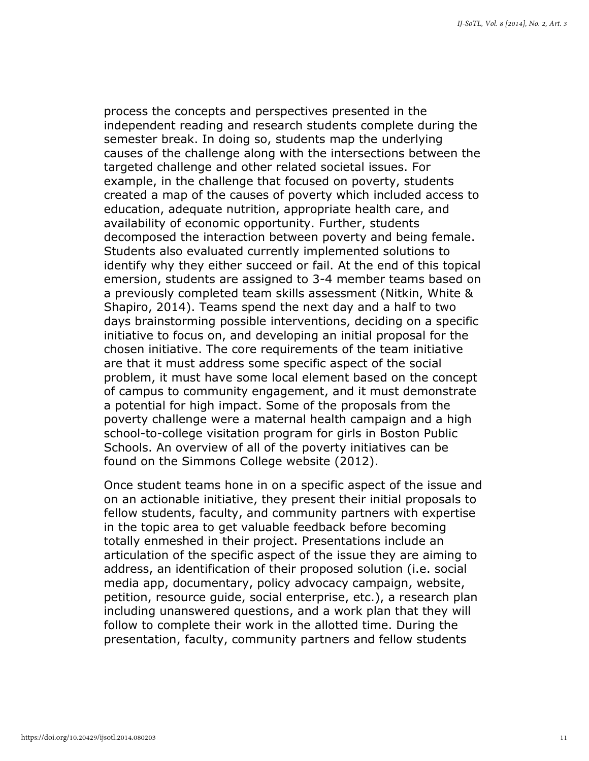process the concepts and perspectives presented in the independent reading and research students complete during the semester break. In doing so, students map the underlying causes of the challenge along with the intersections between the targeted challenge and other related societal issues. For example, in the challenge that focused on poverty, students created a map of the causes of poverty which included access to education, adequate nutrition, appropriate health care, and availability of economic opportunity. Further, students decomposed the interaction between poverty and being female. Students also evaluated currently implemented solutions to identify why they either succeed or fail. At the end of this topical emersion, students are assigned to 3-4 member teams based on a previously completed team skills assessment (Nitkin, White & Shapiro, 2014). Teams spend the next day and a half to two days brainstorming possible interventions, deciding on a specific initiative to focus on, and developing an initial proposal for the chosen initiative. The core requirements of the team initiative are that it must address some specific aspect of the social problem, it must have some local element based on the concept of campus to community engagement, and it must demonstrate a potential for high impact. Some of the proposals from the poverty challenge were a maternal health campaign and a high school-to-college visitation program for girls in Boston Public Schools. An overview of all of the poverty initiatives can be found on the Simmons College website (2012).

Once student teams hone in on a specific aspect of the issue and on an actionable initiative, they present their initial proposals to fellow students, faculty, and community partners with expertise in the topic area to get valuable feedback before becoming totally enmeshed in their project. Presentations include an articulation of the specific aspect of the issue they are aiming to address, an identification of their proposed solution (i.e. social media app, documentary, policy advocacy campaign, website, petition, resource guide, social enterprise, etc.), a research plan including unanswered questions, and a work plan that they will follow to complete their work in the allotted time. During the presentation, faculty, community partners and fellow students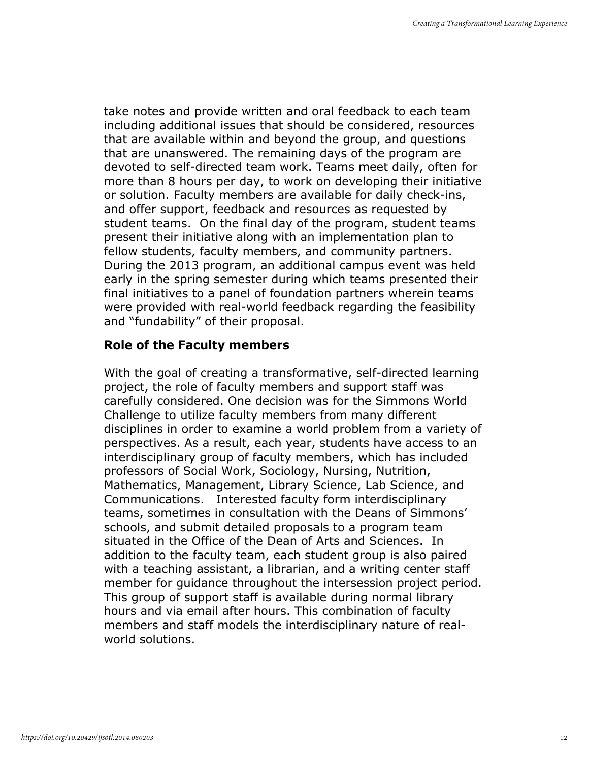take notes and provide written and oral feedback to each team including additional issues that should be considered, resources that are available within and beyond the group, and questions that are unanswered. The remaining days of the program are devoted to self-directed team work. Teams meet daily, often for more than 8 hours per day, to work on developing their initiative or solution. Faculty members are available for daily check-ins, and offer support, feedback and resources as requested by student teams. On the final day of the program, student teams present their initiative along with an implementation plan to fellow students, faculty members, and community partners. During the 2013 program, an additional campus event was held early in the spring semester during which teams presented their final initiatives to a panel of foundation partners wherein teams were provided with real-world feedback regarding the feasibility and "fundability" of their proposal.

### Role of the Faculty members

With the goal of creating a transformative, self-directed learning project, the role of faculty members and support staff was carefully considered. One decision was for the Simmons World Challenge to utilize faculty members from many different disciplines in order to examine a world problem from a variety of perspectives. As a result, each year, students have access to an interdisciplinary group of faculty members, which has included professors of Social Work, Sociology, Nursing, Nutrition, Mathematics, Management, Library Science, Lab Science, and Communications. Interested faculty form interdisciplinary teams, sometimes in consultation with the Deans of Simmons' schools, and submit detailed proposals to a program team situated in the Office of the Dean of Arts and Sciences. In addition to the faculty team, each student group is also paired with a teaching assistant, a librarian, and a writing center staff member for guidance throughout the intersession project period. This group of support staff is available during normal library hours and via email after hours. This combination of faculty members and staff models the interdisciplinary nature of realworld solutions.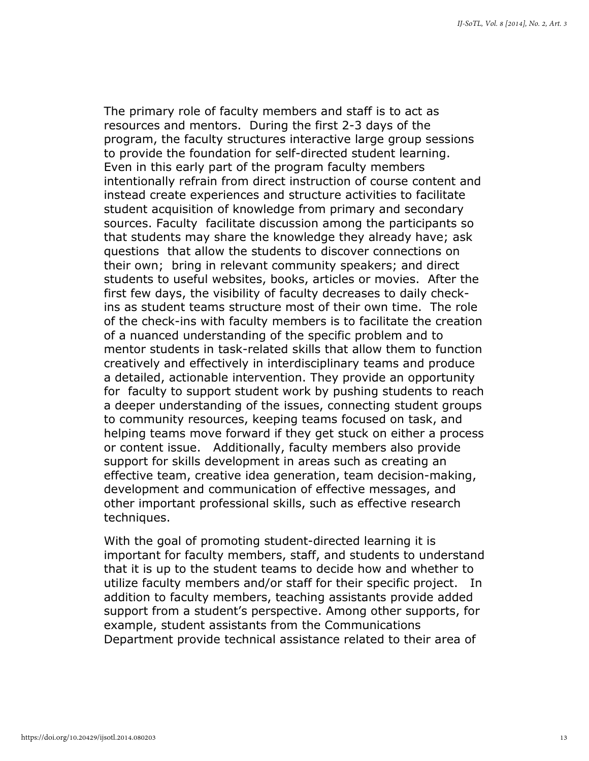The primary role of faculty members and staff is to act as resources and mentors. During the first 2-3 days of the program, the faculty structures interactive large group sessions to provide the foundation for self-directed student learning. Even in this early part of the program faculty members intentionally refrain from direct instruction of course content and instead create experiences and structure activities to facilitate student acquisition of knowledge from primary and secondary sources. Faculty facilitate discussion among the participants so that students may share the knowledge they already have; ask questions that allow the students to discover connections on their own; bring in relevant community speakers; and direct students to useful websites, books, articles or movies. After the first few days, the visibility of faculty decreases to daily checkins as student teams structure most of their own time. The role of the check-ins with faculty members is to facilitate the creation of a nuanced understanding of the specific problem and to mentor students in task-related skills that allow them to function creatively and effectively in interdisciplinary teams and produce a detailed, actionable intervention. They provide an opportunity for faculty to support student work by pushing students to reach a deeper understanding of the issues, connecting student groups to community resources, keeping teams focused on task, and helping teams move forward if they get stuck on either a process or content issue. Additionally, faculty members also provide support for skills development in areas such as creating an effective team, creative idea generation, team decision-making, development and communication of effective messages, and other important professional skills, such as effective research techniques.

With the goal of promoting student-directed learning it is important for faculty members, staff, and students to understand that it is up to the student teams to decide how and whether to utilize faculty members and/or staff for their specific project. In addition to faculty members, teaching assistants provide added support from a student's perspective. Among other supports, for example, student assistants from the Communications Department provide technical assistance related to their area of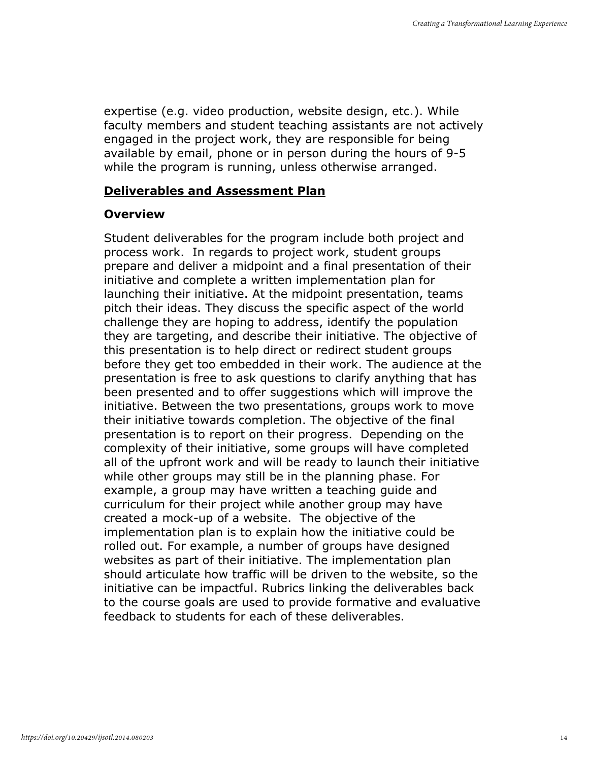expertise (e.g. video production, website design, etc.). While faculty members and student teaching assistants are not actively engaged in the project work, they are responsible for being available by email, phone or in person during the hours of 9-5 while the program is running, unless otherwise arranged.

#### Deliverables and Assessment Plan

### **Overview**

Student deliverables for the program include both project and process work. In regards to project work, student groups prepare and deliver a midpoint and a final presentation of their initiative and complete a written implementation plan for launching their initiative. At the midpoint presentation, teams pitch their ideas. They discuss the specific aspect of the world challenge they are hoping to address, identify the population they are targeting, and describe their initiative. The objective of this presentation is to help direct or redirect student groups before they get too embedded in their work. The audience at the presentation is free to ask questions to clarify anything that has been presented and to offer suggestions which will improve the initiative. Between the two presentations, groups work to move their initiative towards completion. The objective of the final presentation is to report on their progress. Depending on the complexity of their initiative, some groups will have completed all of the upfront work and will be ready to launch their initiative while other groups may still be in the planning phase. For example, a group may have written a teaching guide and curriculum for their project while another group may have created a mock-up of a website. The objective of the implementation plan is to explain how the initiative could be rolled out. For example, a number of groups have designed websites as part of their initiative. The implementation plan should articulate how traffic will be driven to the website, so the initiative can be impactful. Rubrics linking the deliverables back to the course goals are used to provide formative and evaluative feedback to students for each of these deliverables.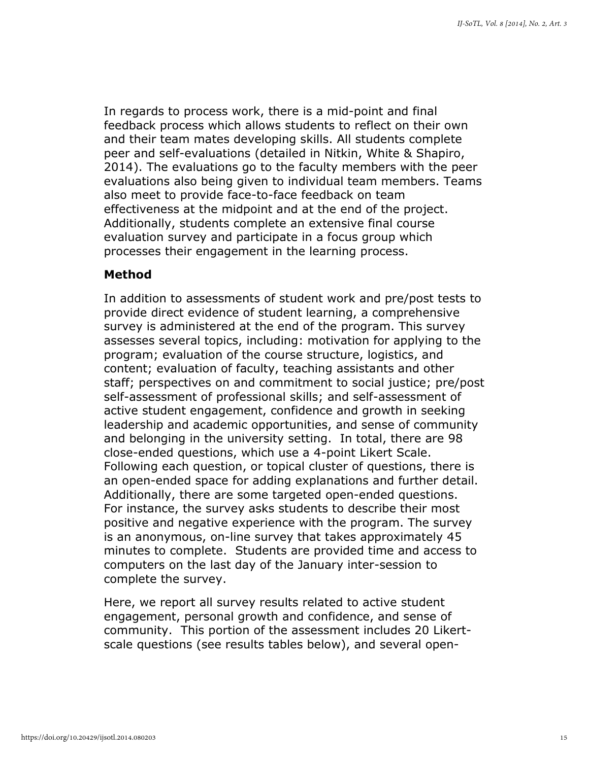In regards to process work, there is a mid-point and final feedback process which allows students to reflect on their own and their team mates developing skills. All students complete peer and self-evaluations (detailed in Nitkin, White & Shapiro, 2014). The evaluations go to the faculty members with the peer evaluations also being given to individual team members. Teams also meet to provide face-to-face feedback on team effectiveness at the midpoint and at the end of the project. Additionally, students complete an extensive final course evaluation survey and participate in a focus group which processes their engagement in the learning process.

#### Method

In addition to assessments of student work and pre/post tests to provide direct evidence of student learning, a comprehensive survey is administered at the end of the program. This survey assesses several topics, including: motivation for applying to the program; evaluation of the course structure, logistics, and content; evaluation of faculty, teaching assistants and other staff; perspectives on and commitment to social justice; pre/post self-assessment of professional skills; and self-assessment of active student engagement, confidence and growth in seeking leadership and academic opportunities, and sense of community and belonging in the university setting. In total, there are 98 close-ended questions, which use a 4-point Likert Scale. Following each question, or topical cluster of questions, there is an open-ended space for adding explanations and further detail. Additionally, there are some targeted open-ended questions. For instance, the survey asks students to describe their most positive and negative experience with the program. The survey is an anonymous, on-line survey that takes approximately 45 minutes to complete. Students are provided time and access to computers on the last day of the January inter-session to complete the survey.

Here, we report all survey results related to active student engagement, personal growth and confidence, and sense of community. This portion of the assessment includes 20 Likertscale questions (see results tables below), and several open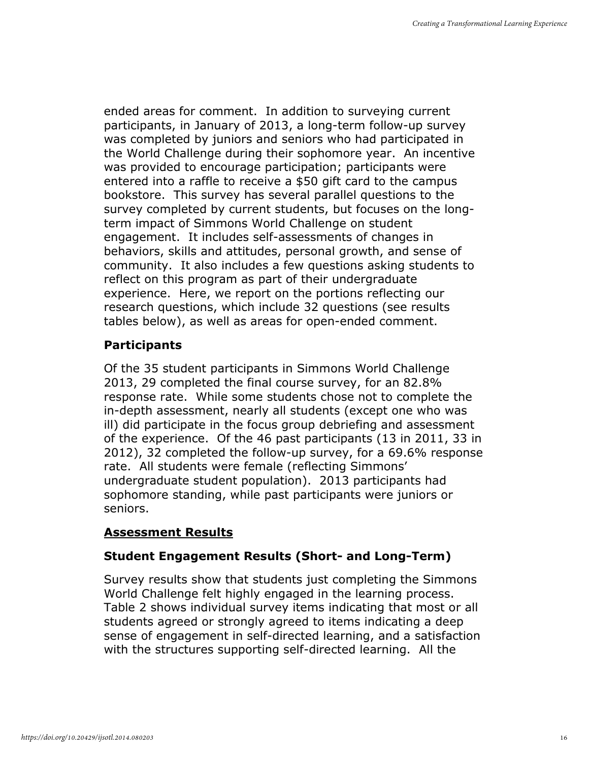ended areas for comment. In addition to surveying current participants, in January of 2013, a long-term follow-up survey was completed by juniors and seniors who had participated in the World Challenge during their sophomore year. An incentive was provided to encourage participation; participants were entered into a raffle to receive a \$50 gift card to the campus bookstore. This survey has several parallel questions to the survey completed by current students, but focuses on the longterm impact of Simmons World Challenge on student engagement. It includes self-assessments of changes in behaviors, skills and attitudes, personal growth, and sense of community. It also includes a few questions asking students to reflect on this program as part of their undergraduate experience. Here, we report on the portions reflecting our research questions, which include 32 questions (see results tables below), as well as areas for open-ended comment.

## **Participants**

Of the 35 student participants in Simmons World Challenge 2013, 29 completed the final course survey, for an 82.8% response rate. While some students chose not to complete the in-depth assessment, nearly all students (except one who was ill) did participate in the focus group debriefing and assessment of the experience. Of the 46 past participants (13 in 2011, 33 in 2012), 32 completed the follow-up survey, for a 69.6% response rate. All students were female (reflecting Simmons' undergraduate student population). 2013 participants had sophomore standing, while past participants were juniors or seniors.

## Assessment Results

## Student Engagement Results (Short- and Long-Term)

Survey results show that students just completing the Simmons World Challenge felt highly engaged in the learning process. Table 2 shows individual survey items indicating that most or all students agreed or strongly agreed to items indicating a deep sense of engagement in self-directed learning, and a satisfaction with the structures supporting self-directed learning. All the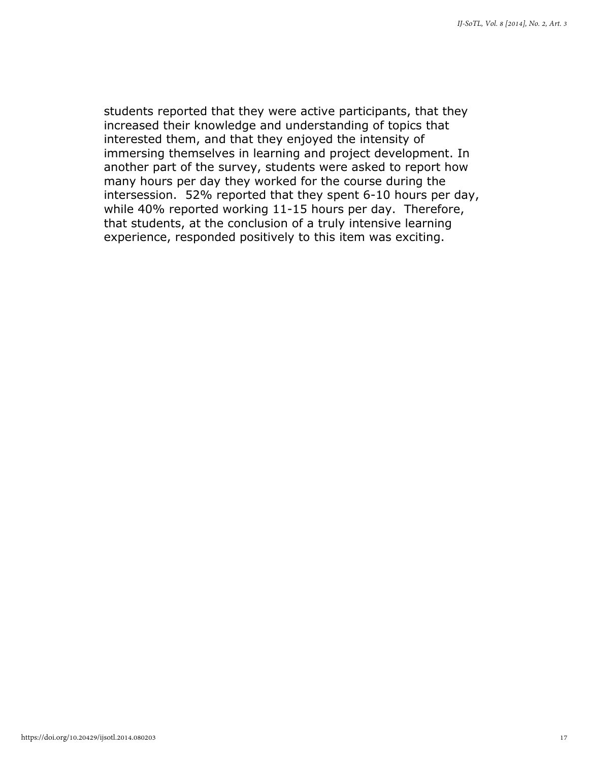students reported that they were active participants, that they increased their knowledge and understanding of topics that interested them, and that they enjoyed the intensity of immersing themselves in learning and project development. In another part of the survey, students were asked to report how many hours per day they worked for the course during the intersession. 52% reported that they spent 6-10 hours per day, while 40% reported working 11-15 hours per day. Therefore, that students, at the conclusion of a truly intensive learning experience, responded positively to this item was exciting.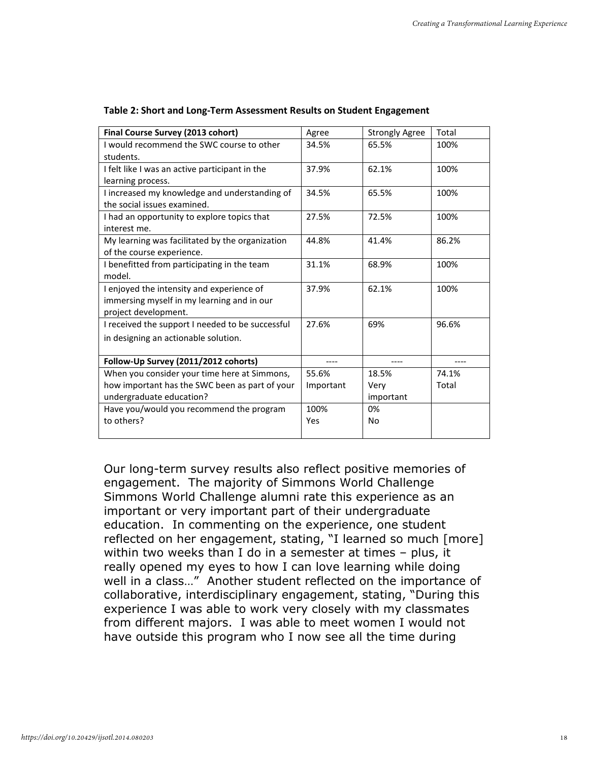| Final Course Survey (2013 cohort)                | Agree     | <b>Strongly Agree</b> | Total |
|--------------------------------------------------|-----------|-----------------------|-------|
| I would recommend the SWC course to other        | 34.5%     | 65.5%                 | 100%  |
| students.                                        |           |                       |       |
| I felt like I was an active participant in the   | 37.9%     | 62.1%                 | 100%  |
| learning process.                                |           |                       |       |
| I increased my knowledge and understanding of    | 34.5%     | 65.5%                 | 100%  |
| the social issues examined.                      |           |                       |       |
| I had an opportunity to explore topics that      | 27.5%     | 72.5%                 | 100%  |
| interest me.                                     |           |                       |       |
| My learning was facilitated by the organization  | 44.8%     | 41.4%                 | 86.2% |
| of the course experience.                        |           |                       |       |
| I benefitted from participating in the team      | 31.1%     | 68.9%                 | 100%  |
| model.                                           |           |                       |       |
| I enjoyed the intensity and experience of        | 37.9%     | 62.1%                 | 100%  |
| immersing myself in my learning and in our       |           |                       |       |
| project development.                             |           |                       |       |
| I received the support I needed to be successful | 27.6%     | 69%                   | 96.6% |
| in designing an actionable solution.             |           |                       |       |
|                                                  |           |                       |       |
| Follow-Up Survey (2011/2012 cohorts)             |           |                       |       |
| When you consider your time here at Simmons,     | 55.6%     | 18.5%                 | 74.1% |
| how important has the SWC been as part of your   | Important | Very                  | Total |
| undergraduate education?                         |           | important             |       |
| Have you/would you recommend the program         | 100%      | 0%                    |       |
| to others?                                       | Yes       | <b>No</b>             |       |
|                                                  |           |                       |       |

#### Table 2: Short and Long-Term Assessment Results on Student Engagement

Our long-term survey results also reflect positive memories of engagement. The majority of Simmons World Challenge Simmons World Challenge alumni rate this experience as an important or very important part of their undergraduate education. In commenting on the experience, one student reflected on her engagement, stating, "I learned so much [more] within two weeks than I do in a semester at times – plus, it really opened my eyes to how I can love learning while doing well in a class…" Another student reflected on the importance of collaborative, interdisciplinary engagement, stating, "During this experience I was able to work very closely with my classmates from different majors. I was able to meet women I would not have outside this program who I now see all the time during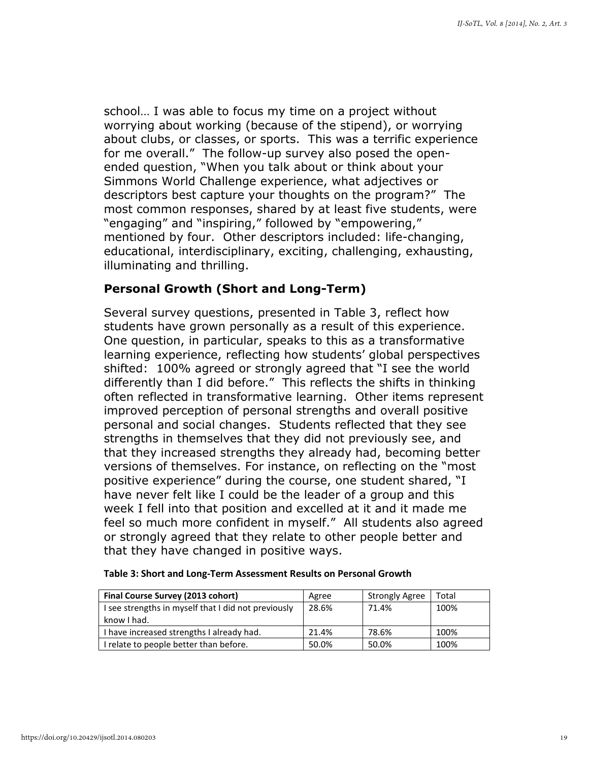school… I was able to focus my time on a project without worrying about working (because of the stipend), or worrying about clubs, or classes, or sports. This was a terrific experience for me overall." The follow-up survey also posed the openended question, "When you talk about or think about your Simmons World Challenge experience, what adjectives or descriptors best capture your thoughts on the program?" The most common responses, shared by at least five students, were "engaging" and "inspiring," followed by "empowering," mentioned by four. Other descriptors included: life-changing, educational, interdisciplinary, exciting, challenging, exhausting, illuminating and thrilling.

#### Personal Growth (Short and Long-Term)

Several survey questions, presented in Table 3, reflect how students have grown personally as a result of this experience. One question, in particular, speaks to this as a transformative learning experience, reflecting how students' global perspectives shifted: 100% agreed or strongly agreed that "I see the world differently than I did before." This reflects the shifts in thinking often reflected in transformative learning. Other items represent improved perception of personal strengths and overall positive personal and social changes. Students reflected that they see strengths in themselves that they did not previously see, and that they increased strengths they already had, becoming better versions of themselves. For instance, on reflecting on the "most positive experience" during the course, one student shared, "I have never felt like I could be the leader of a group and this week I fell into that position and excelled at it and it made me feel so much more confident in myself." All students also agreed or strongly agreed that they relate to other people better and that they have changed in positive ways.

| Final Course Survey (2013 cohort)                                  | Agree | <b>Strongly Agree</b> | Total |
|--------------------------------------------------------------------|-------|-----------------------|-------|
| I see strengths in myself that I did not previously<br>know I had. | 28.6% | 71.4%                 | 100%  |
| I have increased strengths I already had.                          | 21.4% | 78.6%                 | 100%  |
| I relate to people better than before.                             | 50.0% | 50.0%                 | 100%  |

#### Table 3: Short and Long-Term Assessment Results on Personal Growth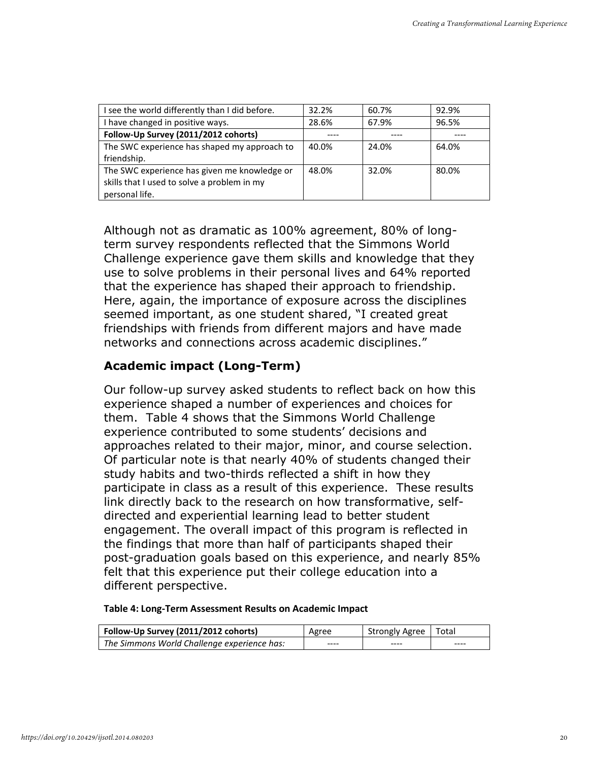| I see the world differently than I did before. | 32.2% | 60.7% | 92.9% |
|------------------------------------------------|-------|-------|-------|
| I have changed in positive ways.               | 28.6% | 67.9% | 96.5% |
| Follow-Up Survey (2011/2012 cohorts)           |       |       |       |
| The SWC experience has shaped my approach to   | 40.0% | 24.0% | 64.0% |
| friendship.                                    |       |       |       |
| The SWC experience has given me knowledge or   | 48.0% | 32.0% | 80.0% |
| skills that I used to solve a problem in my    |       |       |       |
| personal life.                                 |       |       |       |

Although not as dramatic as 100% agreement, 80% of longterm survey respondents reflected that the Simmons World Challenge experience gave them skills and knowledge that they use to solve problems in their personal lives and 64% reported that the experience has shaped their approach to friendship. Here, again, the importance of exposure across the disciplines seemed important, as one student shared, "I created great friendships with friends from different majors and have made networks and connections across academic disciplines."

## Academic impact (Long-Term)

Our follow-up survey asked students to reflect back on how this experience shaped a number of experiences and choices for them. Table 4 shows that the Simmons World Challenge experience contributed to some students' decisions and approaches related to their major, minor, and course selection. Of particular note is that nearly 40% of students changed their study habits and two-thirds reflected a shift in how they participate in class as a result of this experience. These results link directly back to the research on how transformative, selfdirected and experiential learning lead to better student engagement. The overall impact of this program is reflected in the findings that more than half of participants shaped their post-graduation goals based on this experience, and nearly 85% felt that this experience put their college education into a different perspective.

Table 4: Long-Term Assessment Results on Academic Impact

| Follow-Up Survey (2011/2012 cohorts)        | Agree | Strongly Agree   Total |      |
|---------------------------------------------|-------|------------------------|------|
| The Simmons World Challenge experience has: | ----  | ----                   | ---- |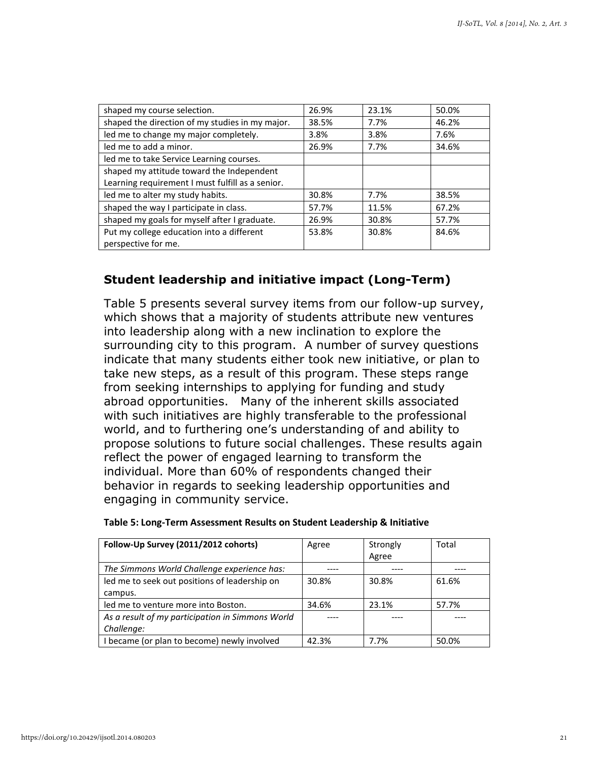| shaped my course selection.                      | 26.9% | 23.1% | 50.0% |
|--------------------------------------------------|-------|-------|-------|
| shaped the direction of my studies in my major.  | 38.5% | 7.7%  | 46.2% |
| led me to change my major completely.            | 3.8%  | 3.8%  | 7.6%  |
| led me to add a minor.                           | 26.9% | 7.7%  | 34.6% |
| led me to take Service Learning courses.         |       |       |       |
| shaped my attitude toward the Independent        |       |       |       |
| Learning requirement I must fulfill as a senior. |       |       |       |
| led me to alter my study habits.                 | 30.8% | 7.7%  | 38.5% |
| shaped the way I participate in class.           | 57.7% | 11.5% | 67.2% |
| shaped my goals for myself after I graduate.     | 26.9% | 30.8% | 57.7% |
| Put my college education into a different        | 53.8% | 30.8% | 84.6% |
| perspective for me.                              |       |       |       |

## Student leadership and initiative impact (Long-Term)

Table 5 presents several survey items from our follow-up survey, which shows that a majority of students attribute new ventures into leadership along with a new inclination to explore the surrounding city to this program. A number of survey questions indicate that many students either took new initiative, or plan to take new steps, as a result of this program. These steps range from seeking internships to applying for funding and study abroad opportunities. Many of the inherent skills associated with such initiatives are highly transferable to the professional world, and to furthering one's understanding of and ability to propose solutions to future social challenges. These results again reflect the power of engaged learning to transform the individual. More than 60% of respondents changed their behavior in regards to seeking leadership opportunities and engaging in community service.

| Follow-Up Survey (2011/2012 cohorts)             | Agree | Strongly | Total |
|--------------------------------------------------|-------|----------|-------|
|                                                  |       | Agree    |       |
| The Simmons World Challenge experience has:      |       |          |       |
| led me to seek out positions of leadership on    | 30.8% | 30.8%    | 61.6% |
| campus.                                          |       |          |       |
| led me to venture more into Boston.              | 34.6% | 23.1%    | 57.7% |
| As a result of my participation in Simmons World |       |          |       |
| Challenge:                                       |       |          |       |
| I became (or plan to become) newly involved      | 42.3% | 7.7%     | 50.0% |

| Table 5: Long-Term Assessment Results on Student Leadership & Initiative |  |  |  |  |  |
|--------------------------------------------------------------------------|--|--|--|--|--|
|--------------------------------------------------------------------------|--|--|--|--|--|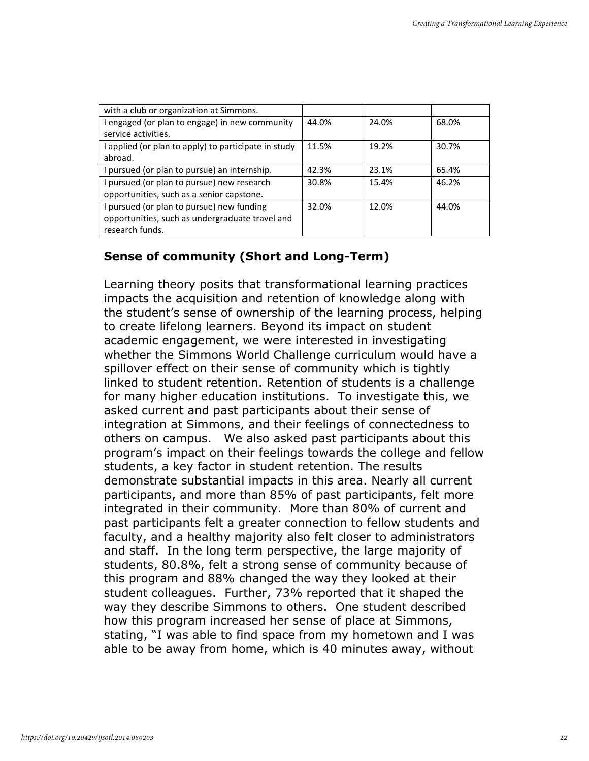| with a club or organization at Simmons.              |       |       |       |
|------------------------------------------------------|-------|-------|-------|
| I engaged (or plan to engage) in new community       | 44.0% | 24.0% | 68.0% |
| service activities.                                  |       |       |       |
| I applied (or plan to apply) to participate in study | 11.5% | 19.2% | 30.7% |
| abroad.                                              |       |       |       |
| I pursued (or plan to pursue) an internship.         | 42.3% | 23.1% | 65.4% |
| I pursued (or plan to pursue) new research           | 30.8% | 15.4% | 46.2% |
| opportunities, such as a senior capstone.            |       |       |       |
| I pursued (or plan to pursue) new funding            | 32.0% | 12.0% | 44.0% |
| opportunities, such as undergraduate travel and      |       |       |       |
| research funds.                                      |       |       |       |

## Sense of community (Short and Long-Term)

Learning theory posits that transformational learning practices impacts the acquisition and retention of knowledge along with the student's sense of ownership of the learning process, helping to create lifelong learners. Beyond its impact on student academic engagement, we were interested in investigating whether the Simmons World Challenge curriculum would have a spillover effect on their sense of community which is tightly linked to student retention. Retention of students is a challenge for many higher education institutions. To investigate this, we asked current and past participants about their sense of integration at Simmons, and their feelings of connectedness to others on campus. We also asked past participants about this program's impact on their feelings towards the college and fellow students, a key factor in student retention. The results demonstrate substantial impacts in this area. Nearly all current participants, and more than 85% of past participants, felt more integrated in their community. More than 80% of current and past participants felt a greater connection to fellow students and faculty, and a healthy majority also felt closer to administrators and staff. In the long term perspective, the large majority of students, 80.8%, felt a strong sense of community because of this program and 88% changed the way they looked at their student colleagues. Further, 73% reported that it shaped the way they describe Simmons to others. One student described how this program increased her sense of place at Simmons, stating, "I was able to find space from my hometown and I was able to be away from home, which is 40 minutes away, without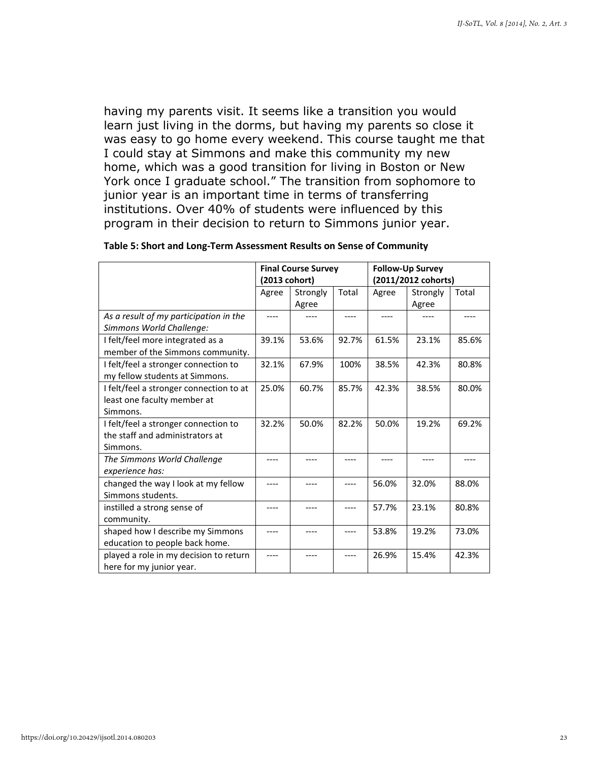having my parents visit. It seems like a transition you would learn just living in the dorms, but having my parents so close it was easy to go home every weekend. This course taught me that I could stay at Simmons and make this community my new home, which was a good transition for living in Boston or New York once I graduate school." The transition from sophomore to junior year is an important time in terms of transferring institutions. Over 40% of students were influenced by this program in their decision to return to Simmons junior year.

|                                                                                     | <b>Final Course Survey</b><br>(2013 cohort) |       | <b>Follow-Up Survey</b><br>(2011/2012 cohorts) |       |       |       |
|-------------------------------------------------------------------------------------|---------------------------------------------|-------|------------------------------------------------|-------|-------|-------|
|                                                                                     | Total<br>Agree<br>Agree<br>Strongly         |       | Strongly                                       | Total |       |       |
|                                                                                     |                                             | Agree |                                                |       | Agree |       |
| As a result of my participation in the<br>Simmons World Challenge:                  |                                             |       |                                                |       |       |       |
| I felt/feel more integrated as a<br>member of the Simmons community.                | 39.1%                                       | 53.6% | 92.7%                                          | 61.5% | 23.1% | 85.6% |
| I felt/feel a stronger connection to<br>my fellow students at Simmons.              | 32.1%                                       | 67.9% | 100%                                           | 38.5% | 42.3% | 80.8% |
| I felt/feel a stronger connection to at<br>least one faculty member at<br>Simmons.  | 25.0%                                       | 60.7% | 85.7%                                          | 42.3% | 38.5% | 80.0% |
| I felt/feel a stronger connection to<br>the staff and administrators at<br>Simmons. | 32.2%                                       | 50.0% | 82.2%                                          | 50.0% | 19.2% | 69.2% |
| The Simmons World Challenge<br>experience has:                                      |                                             |       |                                                |       |       |       |
| changed the way I look at my fellow<br>Simmons students.                            |                                             |       |                                                | 56.0% | 32.0% | 88.0% |
| instilled a strong sense of<br>community.                                           |                                             |       |                                                | 57.7% | 23.1% | 80.8% |
| shaped how I describe my Simmons<br>education to people back home.                  |                                             |       |                                                | 53.8% | 19.2% | 73.0% |
| played a role in my decision to return<br>here for my junior year.                  |                                             | ----  |                                                | 26.9% | 15.4% | 42.3% |

#### Table 5: Short and Long-Term Assessment Results on Sense of Community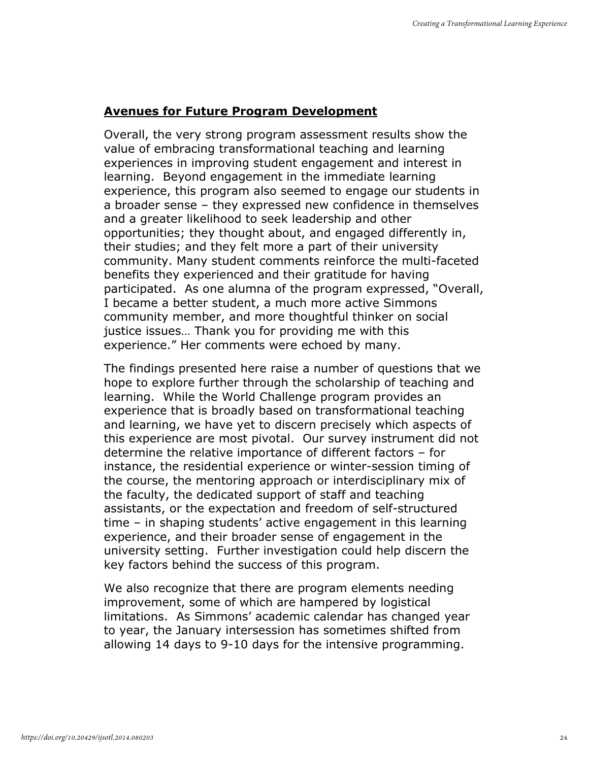## Avenues for Future Program Development

Overall, the very strong program assessment results show the value of embracing transformational teaching and learning experiences in improving student engagement and interest in learning. Beyond engagement in the immediate learning experience, this program also seemed to engage our students in a broader sense – they expressed new confidence in themselves and a greater likelihood to seek leadership and other opportunities; they thought about, and engaged differently in, their studies; and they felt more a part of their university community. Many student comments reinforce the multi-faceted benefits they experienced and their gratitude for having participated. As one alumna of the program expressed, "Overall, I became a better student, a much more active Simmons community member, and more thoughtful thinker on social justice issues… Thank you for providing me with this experience." Her comments were echoed by many.

The findings presented here raise a number of questions that we hope to explore further through the scholarship of teaching and learning. While the World Challenge program provides an experience that is broadly based on transformational teaching and learning, we have yet to discern precisely which aspects of this experience are most pivotal. Our survey instrument did not determine the relative importance of different factors – for instance, the residential experience or winter-session timing of the course, the mentoring approach or interdisciplinary mix of the faculty, the dedicated support of staff and teaching assistants, or the expectation and freedom of self-structured time – in shaping students' active engagement in this learning experience, and their broader sense of engagement in the university setting. Further investigation could help discern the key factors behind the success of this program.

We also recognize that there are program elements needing improvement, some of which are hampered by logistical limitations. As Simmons' academic calendar has changed year to year, the January intersession has sometimes shifted from allowing 14 days to 9-10 days for the intensive programming.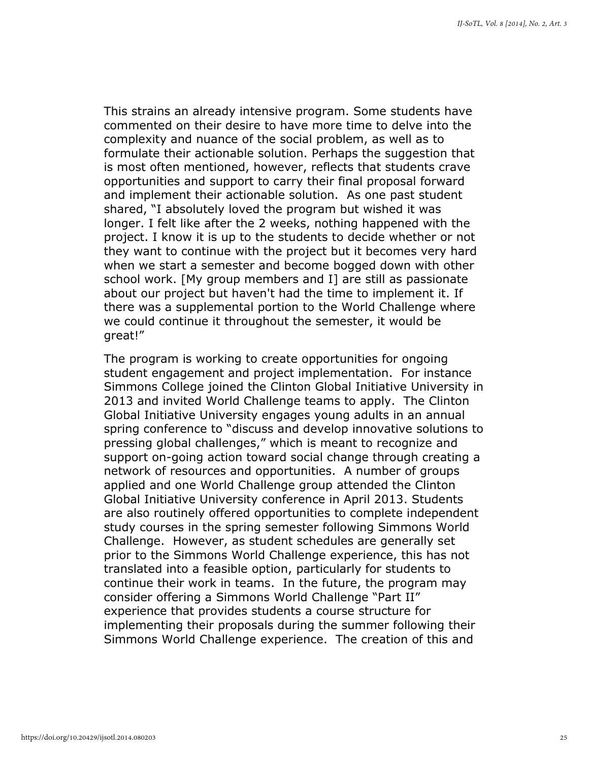This strains an already intensive program. Some students have commented on their desire to have more time to delve into the complexity and nuance of the social problem, as well as to formulate their actionable solution. Perhaps the suggestion that is most often mentioned, however, reflects that students crave opportunities and support to carry their final proposal forward and implement their actionable solution. As one past student shared, "I absolutely loved the program but wished it was longer. I felt like after the 2 weeks, nothing happened with the project. I know it is up to the students to decide whether or not they want to continue with the project but it becomes very hard when we start a semester and become bogged down with other school work. [My group members and I] are still as passionate about our project but haven't had the time to implement it. If there was a supplemental portion to the World Challenge where we could continue it throughout the semester, it would be great!"

The program is working to create opportunities for ongoing student engagement and project implementation. For instance Simmons College joined the Clinton Global Initiative University in 2013 and invited World Challenge teams to apply. The Clinton Global Initiative University engages young adults in an annual spring conference to "discuss and develop innovative solutions to pressing global challenges," which is meant to recognize and support on-going action toward social change through creating a network of resources and opportunities. A number of groups applied and one World Challenge group attended the Clinton Global Initiative University conference in April 2013. Students are also routinely offered opportunities to complete independent study courses in the spring semester following Simmons World Challenge. However, as student schedules are generally set prior to the Simmons World Challenge experience, this has not translated into a feasible option, particularly for students to continue their work in teams. In the future, the program may consider offering a Simmons World Challenge "Part II" experience that provides students a course structure for implementing their proposals during the summer following their Simmons World Challenge experience. The creation of this and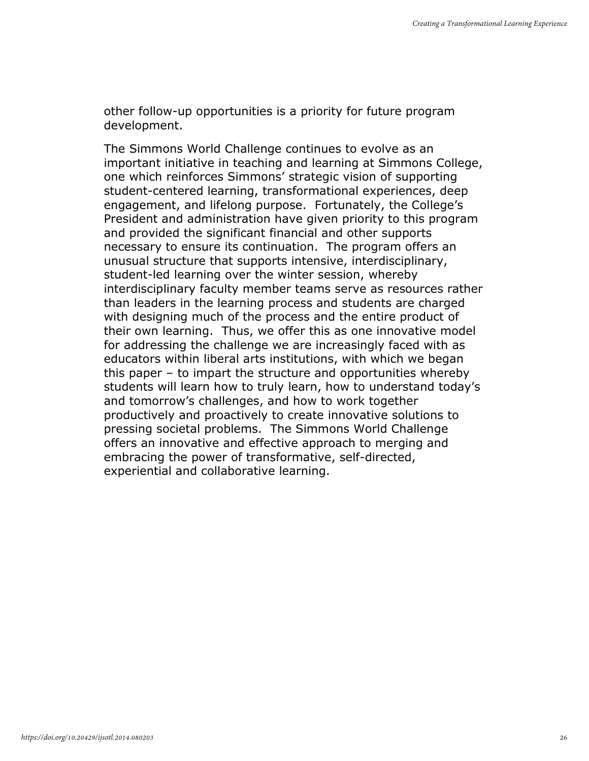other follow-up opportunities is a priority for future program development.

The Simmons World Challenge continues to evolve as an important initiative in teaching and learning at Simmons College, one which reinforces Simmons' strategic vision of supporting student-centered learning, transformational experiences, deep engagement, and lifelong purpose. Fortunately, the College's President and administration have given priority to this program and provided the significant financial and other supports necessary to ensure its continuation. The program offers an unusual structure that supports intensive, interdisciplinary, student-led learning over the winter session, whereby interdisciplinary faculty member teams serve as resources rather than leaders in the learning process and students are charged with designing much of the process and the entire product of their own learning. Thus, we offer this as one innovative model for addressing the challenge we are increasingly faced with as educators within liberal arts institutions, with which we began this paper – to impart the structure and opportunities whereby students will learn how to truly learn, how to understand today's and tomorrow's challenges, and how to work together productively and proactively to create innovative solutions to pressing societal problems. The Simmons World Challenge offers an innovative and effective approach to merging and embracing the power of transformative, self-directed, experiential and collaborative learning.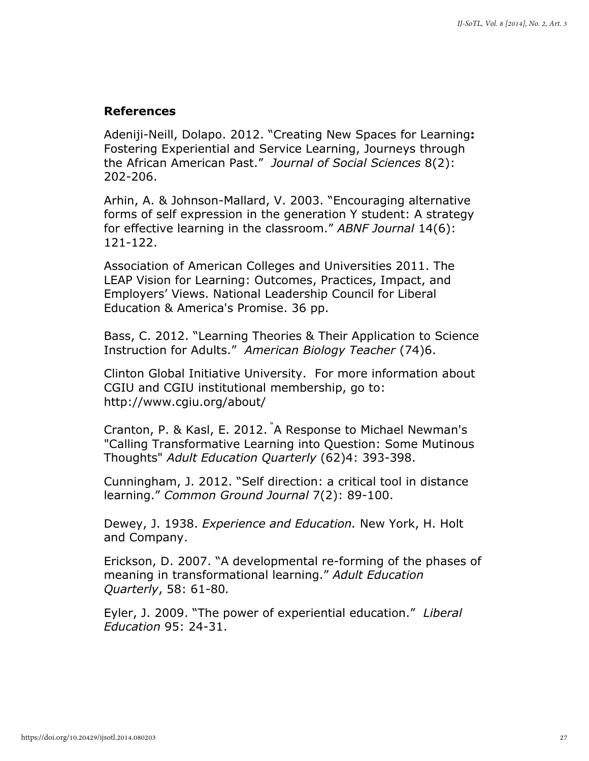#### References

Adeniji-Neill, Dolapo. 2012. "Creating New Spaces for Learning: Fostering Experiential and Service Learning, Journeys through the African American Past." Journal of Social Sciences 8(2): 202-206.

Arhin, A. & Johnson-Mallard, V. 2003. "Encouraging alternative forms of self expression in the generation Y student: A strategy for effective learning in the classroom." ABNF Journal 14(6): 121-122.

Association of American Colleges and Universities 2011. The LEAP Vision for Learning: Outcomes, Practices, Impact, and Employers' Views. National Leadership Council for Liberal Education & America's Promise. 36 pp.

Bass, C. 2012. "Learning Theories & Their Application to Science Instruction for Adults." American Biology Teacher (74)6.

Clinton Global Initiative University. For more information about CGIU and CGIU institutional membership, go to: http://www.cgiu.org/about/

Cranton, P. & Kasl, E. 2012. "A Response to Michael Newman's "Calling Transformative Learning into Question: Some Mutinous Thoughts" Adult Education Quarterly (62)4: 393-398.

Cunningham, J. 2012. "Self direction: a critical tool in distance learning." Common Ground Journal 7(2): 89-100.

Dewey, J. 1938. Experience and Education. New York, H. Holt and Company.

Erickson, D. 2007. "A developmental re-forming of the phases of meaning in transformational learning." Adult Education Quarterly, 58: 61-80.

Eyler, J. 2009. "The power of experiential education." Liberal Education 95: 24-31.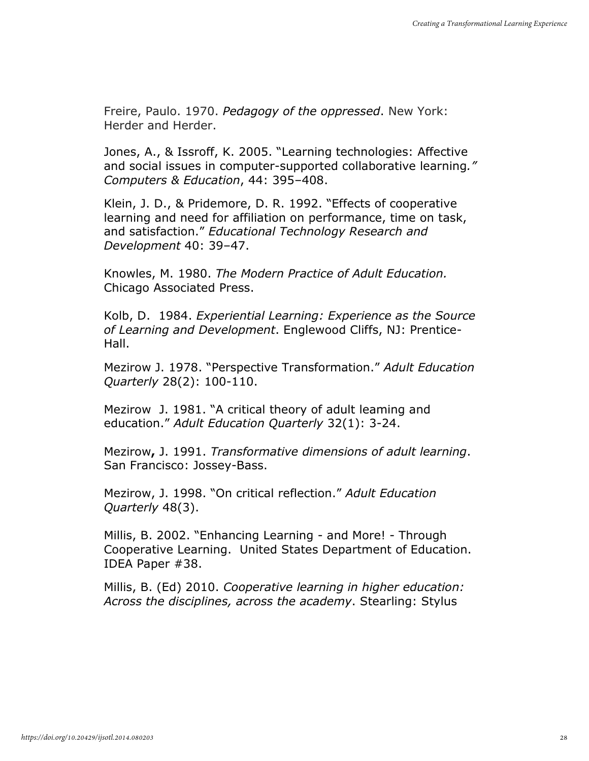Freire, Paulo. 1970. Pedagogy of the oppressed. New York: Herder and Herder.

Jones, A., & Issroff, K. 2005. "Learning technologies: Affective and social issues in computer-supported collaborative learning." Computers & Education, 44: 395–408.

Klein, J. D., & Pridemore, D. R. 1992. "Effects of cooperative learning and need for affiliation on performance, time on task, and satisfaction." Educational Technology Research and Development 40: 39–47.

Knowles, M. 1980. The Modern Practice of Adult Education. Chicago Associated Press.

Kolb, D. 1984. Experiential Learning: Experience as the Source of Learning and Development. Englewood Cliffs, NJ: Prentice-Hall.

Mezirow J. 1978. "Perspective Transformation." Adult Education Quarterly 28(2): 100-110.

Mezirow J. 1981. "A critical theory of adult leaming and education." Adult Education Quarterly 32(1): 3-24.

Mezirow, J. 1991. Transformative dimensions of adult learning. San Francisco: Jossey-Bass.

Mezirow, J. 1998. "On critical reflection." Adult Education Quarterly 48(3).

Millis, B. 2002. "Enhancing Learning - and More! - Through Cooperative Learning. United States Department of Education. IDEA Paper #38.

Millis, B. (Ed) 2010. Cooperative learning in higher education: Across the disciplines, across the academy. Stearling: Stylus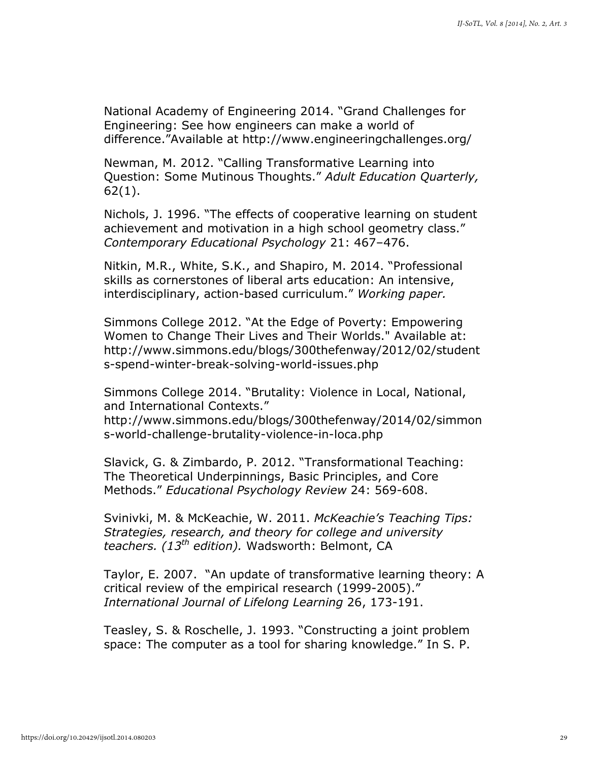National Academy of Engineering 2014. "Grand Challenges for Engineering: See how engineers can make a world of difference."Available at http://www.engineeringchallenges.org/

Newman, M. 2012. "Calling Transformative Learning into Question: Some Mutinous Thoughts." Adult Education Quarterly, 62(1).

Nichols, J. 1996. "The effects of cooperative learning on student achievement and motivation in a high school geometry class." Contemporary Educational Psychology 21: 467–476.

Nitkin, M.R., White, S.K., and Shapiro, M. 2014. "Professional skills as cornerstones of liberal arts education: An intensive, interdisciplinary, action-based curriculum." Working paper.

Simmons College 2012. "At the Edge of Poverty: Empowering Women to Change Their Lives and Their Worlds." Available at: http://www.simmons.edu/blogs/300thefenway/2012/02/student s-spend-winter-break-solving-world-issues.php

Simmons College 2014. "Brutality: Violence in Local, National, and International Contexts."

http://www.simmons.edu/blogs/300thefenway/2014/02/simmon s-world-challenge-brutality-violence-in-loca.php

Slavick, G. & Zimbardo, P. 2012. "Transformational Teaching: The Theoretical Underpinnings, Basic Principles, and Core Methods." Educational Psychology Review 24: 569-608.

Svinivki, M. & McKeachie, W. 2011. McKeachie's Teaching Tips: Strategies, research, and theory for college and university teachers.  $(13<sup>th</sup>$  edition). Wadsworth: Belmont, CA

Taylor, E. 2007. "An update of transformative learning theory: A critical review of the empirical research (1999-2005)." International Journal of Lifelong Learning 26, 173-191.

Teasley, S. & Roschelle, J. 1993. "Constructing a joint problem space: The computer as a tool for sharing knowledge." In S. P.